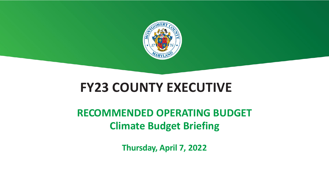

# **FY23 COUNTY EXECUTIVE**

## **RECOMMENDED OPERATING BUDGET Climate Budget Briefing**

**Thursday, April 7, 2022**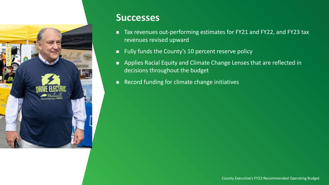

#### **Successes**

- revenues revised upward
- Fully funds the County's 10 percent reserve policy
- **Applies Racial Equity and Climate Change Lenses that are reflected in** decisions throughout the budget
- Record funding for climate change initiatives

## ■ Tax revenues out-performing estimates for FY21 and FY22, and FY23 tax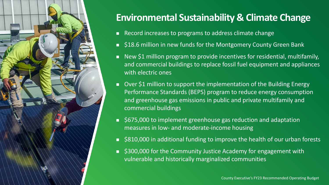

### **Environmental Sustainability & Climate Change**

- Record increases to programs to address climate change
- \$18.6 million in new funds for the Montgomery County Green Bank
- **New \$1 million program to provide incentives for residential, multifamily,** and commercial buildings to replace fossil fuel equipment and appliances with electric ones
- Over \$1 million to support the implementation of the Building Energy Performance Standards (BEPS) program to reduce energy consumption and greenhouse gas emissions in public and private multifamily and commercial buildings
- \$675,000 to implement greenhouse gas reduction and adaptation measures in low- and moderate-income housing
- \$810,000 in additional funding to improve the health of our urban forests
- \$300,000 for the Community Justice Academy for engagement with vulnerable and historically marginalized communities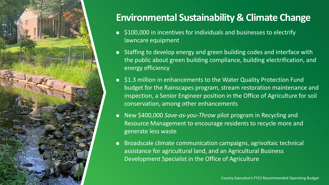

## **Environmental Sustainability & Climate Change**

■ Staffing to develop energy and green building codes and interface with the public about green building compliance, building electrification, and

**S1.3 million in enhancements to the Water Quality Protection Fund** budget for the Rainscapes program, stream restoration maintenance and inspection, a Senior Engineer position in the Office of Agriculture for soil

■ New \$400,000 *Save-as-you-Throw* pilot program in Recycling and Resource Management to encourage residents to recycle more and

- lawncare equipment
- energy efficiency
- conservation, among other enhancements
- generate less waste
- 

■ \$100,000 in incentives for individuals and businesses to electrify

 Broadscale climate communication campaigns, agrivoltaic technical assistance for agricultural land, and an Agricultural Business Development Specialist in the Office of Agriculture